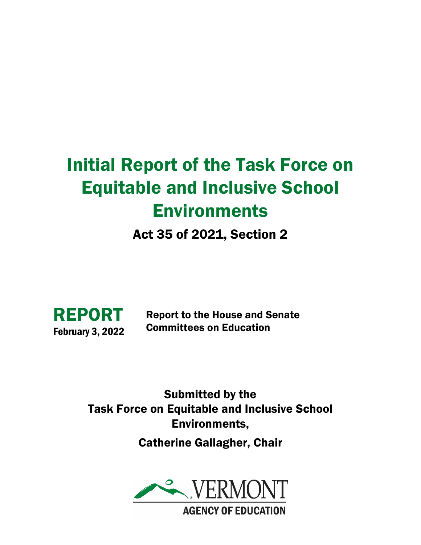# Initial Report of the Task Force on Equitable and Inclusive School Environments

Act 35 of 2021, Section 2



Report to the House and Senate Committees on Education

Submitted by the Task Force on Equitable and Inclusive School Environments, Catherine Gallagher, Chair

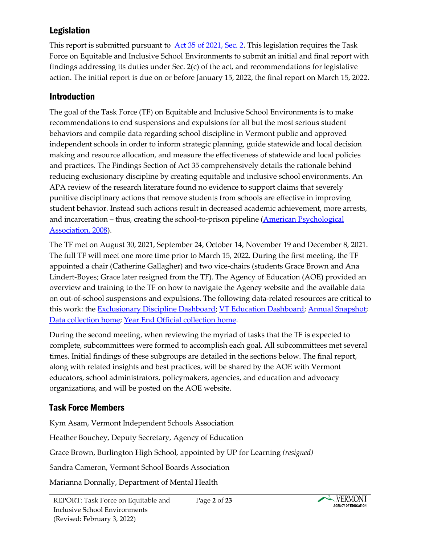# Legislation

This report is submitted pursuant to **Act 35 of 2021, Sec. 2**. This legislation requires the Task Force on Equitable and Inclusive School Environments to submit an initial and final report with findings addressing its duties under Sec. 2(c) of the act, and recommendations for legislative action. The initial report is due on or before January 15, 2022, the final report on March 15, 2022.

# Introduction

The goal of the Task Force (TF) on Equitable and Inclusive School Environments is to make recommendations to end suspensions and expulsions for all but the most serious student behaviors and compile data regarding school discipline in Vermont public and approved independent schools in order to inform strategic planning, guide statewide and local decision making and resource allocation, and measure the effectiveness of statewide and local policies and practices. The Findings Section of Act 35 comprehensively details the rationale behind reducing exclusionary discipline by creating equitable and inclusive school environments. An APA review of the research literature found no evidence to support claims that severely punitive disciplinary actions that remove students from schools are effective in improving student behavior. Instead such actions result in decreased academic achievement, more arrests, and incarceration – thus, creating the school-to-prison pipeline (American Psychological [Association, 2008\)](https://www.apa.org/pubs/info/reports/zero-tolerance.pdf).

The TF met on August 30, 2021, September 24, October 14, November 19 and December 8, 2021. The full TF will meet one more time prior to March 15, 2022. During the first meeting, the TF appointed a chair (Catherine Gallagher) and two vice-chairs (students Grace Brown and Ana Lindert-Boyes; Grace later resigned from the TF). The Agency of Education (AOE) provided an overview and training to the TF on how to navigate the Agency website and the available data on out-of-school suspensions and expulsions. The following data-related resources are critical to this work: the [Exclusionary Discipline Dashboard;](https://education.vermont.gov/content/vermont-education-dashboard-exclusionary-discipline) [VT Education Dashboard;](https://education.vermont.gov/data-and-reporting/vermont-education-dashboard) [Annual Snapshot;](https://schoolsnapshot.vermont.gov/) [Data collection home;](https://datacollection.education.vermont.gov/) [Year End Official collection home.](https://datacollection.education.vermont.gov/Collections/SLDS-Vertical-Reporting/DC4/)

During the second meeting, when reviewing the myriad of tasks that the TF is expected to complete, subcommittees were formed to accomplish each goal. All subcommittees met several times. Initial findings of these subgroups are detailed in the sections below. The final report, along with related insights and best practices, will be shared by the AOE with Vermont educators, school administrators, policymakers, agencies, and education and advocacy organizations, and will be posted on the AOE website.

# Task Force Members

Kym Asam, Vermont Independent Schools Association

Heather Bouchey, Deputy Secretary, Agency of Education

Grace Brown, Burlington High School, appointed by UP for Learning *(resigned)*

Sandra Cameron, Vermont School Boards Association

Marianna Donnally, Department of Mental Health

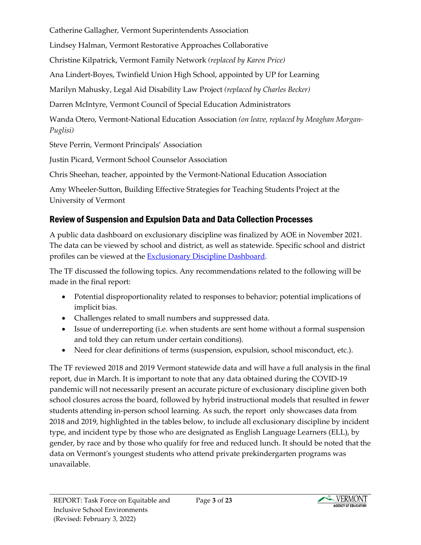Catherine Gallagher, Vermont Superintendents Association

Lindsey Halman, Vermont Restorative Approaches Collaborative

Christine Kilpatrick, Vermont Family Network *(replaced by Karen Price)*

Ana Lindert-Boyes, Twinfield Union High School, appointed by UP for Learning

Marilyn Mahusky, Legal Aid Disability Law Project *(replaced by Charles Becker)*

Darren McIntyre, Vermont Council of Special Education Administrators

Wanda Otero, Vermont-National Education Association *(on leave, replaced by Meaghan Morgan-Puglisi)*

Steve Perrin, Vermont Principals' Association

Justin Picard, Vermont School Counselor Association

Chris Sheehan, teacher, appointed by the Vermont-National Education Association

Amy Wheeler-Sutton, Building Effective Strategies for Teaching Students Project at the University of Vermont

# Review of Suspension and Expulsion Data and Data Collection Processes

A public data dashboard on exclusionary discipline was finalized by AOE in November 2021. The data can be viewed by school and district, as well as statewide. Specific school and district profiles can be viewed at the [Exclusionary Discipline Dashboard.](https://education.vermont.gov/content/vermont-education-dashboard-exclusionary-discipline)

The TF discussed the following topics. Any recommendations related to the following will be made in the final report:

- Potential disproportionality related to responses to behavior; potential implications of implicit bias.
- Challenges related to small numbers and suppressed data.
- Issue of underreporting (i.e. when students are sent home without a formal suspension and told they can return under certain conditions).
- Need for clear definitions of terms (suspension, expulsion, school misconduct, etc.).

The TF reviewed 2018 and 2019 Vermont statewide data and will have a full analysis in the final report, due in March. It is important to note that any data obtained during the COVID-19 pandemic will not necessarily present an accurate picture of exclusionary discipline given both school closures across the board, followed by hybrid instructional models that resulted in fewer students attending in-person school learning. As such, the report only showcases data from 2018 and 2019, highlighted in the tables below, to include all exclusionary discipline by incident type, and incident type by those who are designated as English Language Learners (ELL), by gender, by race and by those who qualify for free and reduced lunch. It should be noted that the data on Vermont's youngest students who attend private prekindergarten programs was unavailable.

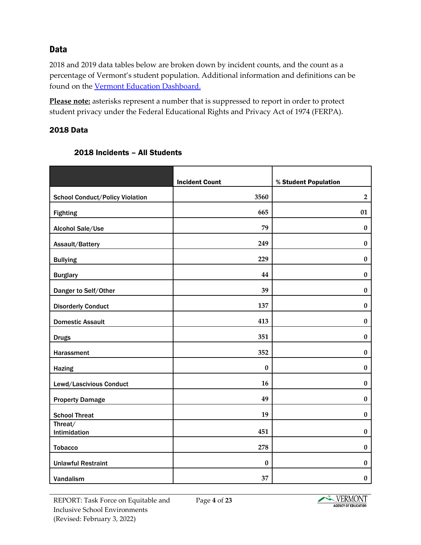## **Data**

2018 and 2019 data tables below are broken down by incident counts, and the count as a percentage of Vermont's student population. Additional information and definitions can be found on the [Vermont Education Dashboard.](https://education.vermont.gov/content/vermont-education-dashboard-exclusionary-discipline)

**Please note:** asterisks represent a number that is suppressed to report in order to protect student privacy under the Federal Educational Rights and Privacy Act of 1974 (FERPA).

#### 2018 Data

|                                        | <b>Incident Count</b> | % Student Population |
|----------------------------------------|-----------------------|----------------------|
| <b>School Conduct/Policy Violation</b> | 3560                  | $\overline{2}$       |
| <b>Fighting</b>                        | 665                   | 01                   |
| Alcohol Sale/Use                       | 79                    | $\boldsymbol{0}$     |
| Assault/Battery                        | 249                   | $\pmb{0}$            |
| <b>Bullying</b>                        | 229                   | $\bf{0}$             |
| <b>Burglary</b>                        | 44                    | 0                    |
| Danger to Self/Other                   | 39                    | $\pmb{0}$            |
| <b>Disorderly Conduct</b>              | 137                   | $\bf{0}$             |
| <b>Domestic Assault</b>                | 413                   | $\bf{0}$             |
| <b>Drugs</b>                           | 351                   | $\bf{0}$             |
| Harassment                             | 352                   | $\bf{0}$             |
| <b>Hazing</b>                          | $\pmb{0}$             | $\bf{0}$             |
| Lewd/Lascivious Conduct                | 16                    | $\boldsymbol{0}$     |
| <b>Property Damage</b>                 | 49                    | $\bf{0}$             |
| <b>School Threat</b>                   | 19                    | $\bf{0}$             |
| Threat/<br>Intimidation                | 451                   | $\bf{0}$             |
| <b>Tobacco</b>                         | 278                   | $\pmb{0}$            |
| <b>Unlawful Restraint</b>              | $\bf{0}$              | $\bf{0}$             |
| Vandalism                              | 37                    | 0                    |

#### 2018 Incidents – All Students

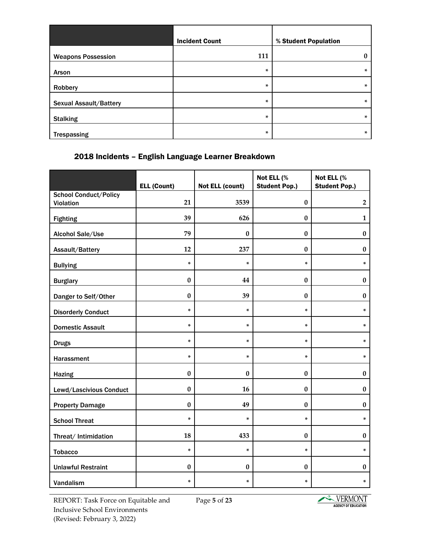|                               | <b>Incident Count</b> | % Student Population |
|-------------------------------|-----------------------|----------------------|
| <b>Weapons Possession</b>     | 111                   | $\bf{0}$             |
| Arson                         | ×                     | $\ast$               |
| Robbery                       | ×                     | $\ast$               |
| <b>Sexual Assault/Battery</b> | ×                     | $\ast$               |
| <b>Stalking</b>               | ÷                     | $\ast$               |
| <b>Trespassing</b>            | ×.                    | $\ast$               |

## 2018 Incidents – English Language Learner Breakdown

|                                           | <b>ELL (Count)</b> | <b>Not ELL (count)</b> | Not ELL (%<br><b>Student Pop.)</b> | Not ELL (%<br><b>Student Pop.)</b> |
|-------------------------------------------|--------------------|------------------------|------------------------------------|------------------------------------|
| <b>School Conduct/Policy</b><br>Violation | 21                 | 3539                   | $\bf{0}$                           | $\mathbf{2}$                       |
| <b>Fighting</b>                           | 39                 | 626                    | $\bf{0}$                           | $\mathbf{1}$                       |
| Alcohol Sale/Use                          | 79                 | $\mathbf{0}$           | $\bf{0}$                           | $\bf{0}$                           |
| Assault/Battery                           | 12                 | 237                    | $\bf{0}$                           | $\bf{0}$                           |
| <b>Bullying</b>                           | $\star$            | ×.                     | $\star$                            | ×                                  |
| <b>Burglary</b>                           | $\pmb{0}$          | 44                     | $\bf{0}$                           | $\bf{0}$                           |
| Danger to Self/Other                      | $\bf{0}$           | 39                     | $\bf{0}$                           | $\bf{0}$                           |
| <b>Disorderly Conduct</b>                 | ×                  | ×                      | ×                                  | $\star$                            |
| <b>Domestic Assault</b>                   | ×                  | ×.                     | ×                                  | ×                                  |
| <b>Drugs</b>                              | ×                  | ×                      | ×                                  | $\star$                            |
| Harassment                                | $\star$            | ×                      | ×                                  | ×                                  |
| <b>Hazing</b>                             | $\boldsymbol{0}$   | $\bf{0}$               | $\bf{0}$                           | $\pmb{0}$                          |
| Lewd/Lascivious Conduct                   | $\bf{0}$           | 16                     | $\bf{0}$                           | $\boldsymbol{0}$                   |
| <b>Property Damage</b>                    | $\bf{0}$           | 49                     | $\bf{0}$                           | $\bf{0}$                           |
| <b>School Threat</b>                      | ×                  | ×.                     | ×                                  | ×                                  |
| Threat/ Intimidation                      | 18                 | 433                    | $\bf{0}$                           | $\bf{0}$                           |
| <b>Tobacco</b>                            | $\ast$             | ×.                     | ×.                                 | ×                                  |
| <b>Unlawful Restraint</b>                 | $\bf{0}$           | $\bf{0}$               | $\bf{0}$                           | $\pmb{0}$                          |
| Vandalism                                 | ×                  | *                      | ×.                                 | $\ast$                             |

REPORT: Task Force on Equitable and Inclusive School Environments (Revised: February 3, 2022)

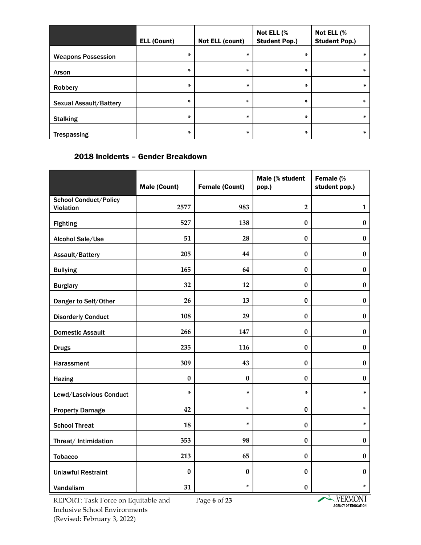|                               | <b>ELL (Count)</b> | <b>Not ELL (count)</b> | Not ELL (%<br><b>Student Pop.)</b> | Not ELL (%<br><b>Student Pop.)</b> |
|-------------------------------|--------------------|------------------------|------------------------------------|------------------------------------|
| <b>Weapons Possession</b>     | ×.                 | ×                      | ×.                                 | *                                  |
| Arson                         | ×.                 | ×.                     | ×.                                 | $\ast$                             |
| Robbery                       | ×                  | ×                      | ×.                                 | $\ast$                             |
| <b>Sexual Assault/Battery</b> | ×.                 | ×                      | ×.                                 | $\ast$                             |
| <b>Stalking</b>               | ×.                 | ×                      | *                                  | $\ast$                             |
| <b>Trespassing</b>            | ×                  | ×                      | *                                  | $\ast$                             |

## 2018 Incidents – Gender Breakdown

|                              | <b>Male (Count)</b> | <b>Female (Count)</b> | Male (% student<br>pop.) | Female (%<br>student pop.) |
|------------------------------|---------------------|-----------------------|--------------------------|----------------------------|
| <b>School Conduct/Policy</b> |                     |                       |                          |                            |
| Violation                    | 2577                | 983                   | $\overline{2}$           | $\mathbf{1}$               |
| <b>Fighting</b>              | 527                 | 138                   | $\bf{0}$                 | $\bf{0}$                   |
| Alcohol Sale/Use             | 51                  | 28                    | $\bf{0}$                 | $\bf{0}$                   |
| Assault/Battery              | 205                 | 44                    | $\bf{0}$                 | $\pmb{0}$                  |
| <b>Bullying</b>              | 165                 | 64                    | $\bf{0}$                 | $\bf{0}$                   |
| <b>Burglary</b>              | 32                  | 12                    | $\bf{0}$                 | $\bf{0}$                   |
| Danger to Self/Other         | 26                  | 13                    | $\bf{0}$                 | $\bf{0}$                   |
| <b>Disorderly Conduct</b>    | 108                 | 29                    | $\bf{0}$                 | $\boldsymbol{0}$           |
| <b>Domestic Assault</b>      | 266                 | 147                   | $\bf{0}$                 | $\bf{0}$                   |
| <b>Drugs</b>                 | 235                 | 116                   | $\bf{0}$                 | $\bf{0}$                   |
| Harassment                   | 309                 | 43                    | $\bf{0}$                 | $\bf{0}$                   |
| <b>Hazing</b>                | $\bf{0}$            | $\bf{0}$              | $\bf{0}$                 | $\bf{0}$                   |
| Lewd/Lascivious Conduct      | ×                   | ×.                    | ×.                       | ×                          |
| <b>Property Damage</b>       | 42                  | ×                     | $\bf{0}$                 | ×                          |
| <b>School Threat</b>         | 18                  | ×.                    | $\bf{0}$                 | ×                          |
| Threat/ Intimidation         | 353                 | 98                    | $\bf{0}$                 | $\bf{0}$                   |
| <b>Tobacco</b>               | 213                 | 65                    | $\bf{0}$                 | $\bf{0}$                   |
| <b>Unlawful Restraint</b>    | $\bf{0}$            | $\bf{0}$              | $\bf{0}$                 | $\bf{0}$                   |
| Vandalism                    | 31                  | ×.                    | $\bf{0}$                 | ×.                         |

REPORT: Task Force on Equitable and Inclusive School Environments (Revised: February 3, 2022)

Page **6** of **23**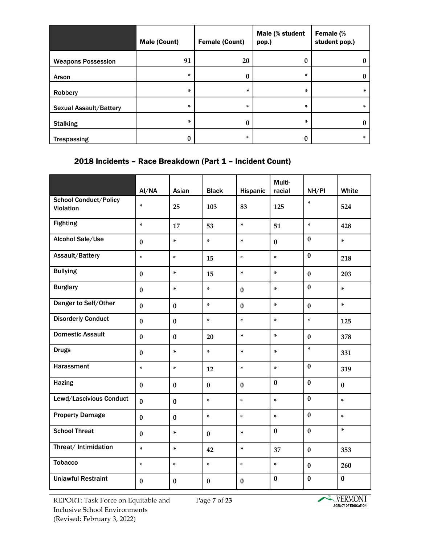|                               | <b>Male (Count)</b> | <b>Female (Count)</b> | Male (% student<br>pop.) | Female (%<br>student pop.) |
|-------------------------------|---------------------|-----------------------|--------------------------|----------------------------|
| <b>Weapons Possession</b>     | 91                  | 20                    | $\bf{0}$                 | U                          |
| Arson                         | ×                   | 0                     | ×                        | 0                          |
| Robbery                       | ×                   | ×.                    | ×                        | ×                          |
| <b>Sexual Assault/Battery</b> | *                   | ×                     | ×                        | ×                          |
| <b>Stalking</b>               | *                   | 0                     | ×                        |                            |
| <b>Trespassing</b>            | U                   | *                     | v                        | ×                          |

### 2018 Incidents – Race Breakdown (Part 1 – Incident Count)

|                                                  | AI/NA        | Asian    | <b>Black</b> | Hispanic     | Multi-<br>racial | NH/PI    | White     |
|--------------------------------------------------|--------------|----------|--------------|--------------|------------------|----------|-----------|
| <b>School Conduct/Policy</b><br><b>Violation</b> | $\ast$       | 25       | 103          | 83           | 125              | ×        | 524       |
| <b>Fighting</b>                                  | ×.           | 17       | 53           | $\star$      | 51               | ×.       | 428       |
| Alcohol Sale/Use                                 | $\bf{0}$     | ×.       | ×.           | $\ast$       | $\bf{0}$         | $\bf{0}$ | ×.        |
| Assault/Battery                                  | $\star$      | ×.       | 15           | $\ast$       | $\star$          | $\bf{0}$ | 218       |
| <b>Bullying</b>                                  | $\bf{0}$     | $\star$  | 15           | $\ast$       | $\star$          | $\bf{0}$ | 203       |
| <b>Burglary</b>                                  | $\bf{0}$     | ×.       | ×.           | $\bf{0}$     | ×.               | $\bf{0}$ | ×         |
| Danger to Self/Other                             | $\bf{0}$     | $\bf{0}$ | ×            | $\bf{0}$     | ×                | $\bf{0}$ | ×.        |
| <b>Disorderly Conduct</b>                        | $\bf{0}$     | $\bf{0}$ | ×            | $\star$      | ×.               | ×        | 125       |
| <b>Domestic Assault</b>                          | $\mathbf{0}$ | $\bf{0}$ | 20           | $\star$      | $\star$          | $\bf{0}$ | 378       |
| <b>Drugs</b>                                     | $\bf{0}$     | ×.       | ×.           | ×.           | ×.               | ×        | 331       |
| Harassment                                       | $\star$      | ×        | 12           | ×.           | $\star$          | $\bf{0}$ | 319       |
| <b>Hazing</b>                                    | $\mathbf{0}$ | $\bf{0}$ | $\bf{0}$     | $\bf{0}$     | $\bf{0}$         | $\bf{0}$ | $\bf{0}$  |
| Lewd/Lascivious Conduct                          | $\bf{0}$     | $\bf{0}$ | ×            | $\star$      | $\star$          | $\bf{0}$ | ×.        |
| <b>Property Damage</b>                           | $\bf{0}$     | $\bf{0}$ | ×            | ×.           | ×                | $\bf{0}$ | ×.        |
| <b>School Threat</b>                             | $\bf{0}$     | ×        | $\bf{0}$     | ×.           | $\bf{0}$         | $\bf{0}$ | ×.        |
| Threat/ Intimidation                             | $\ast$       | ×        | 42           | $\star$      | 37               | $\bf{0}$ | 353       |
| <b>Tobacco</b>                                   | ×.           | ×        | $\ast$       | $\star$      | ×.               | $\bf{0}$ | 260       |
| <b>Unlawful Restraint</b>                        | $\mathbf{0}$ | $\bf{0}$ | $\mathbf{0}$ | $\mathbf{0}$ | $\bf{0}$         | $\bf{0}$ | $\pmb{0}$ |

REPORT: Task Force on Equitable and Inclusive School Environments (Revised: February 3, 2022)

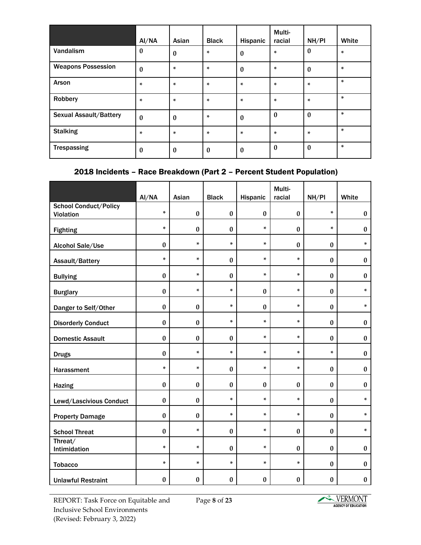|                               | AI/NA        | Asian            | <b>Black</b> | Hispanic     | Multi-<br>racial | NH/PI            | White   |
|-------------------------------|--------------|------------------|--------------|--------------|------------------|------------------|---------|
| Vandalism                     | $\bf{0}$     | $\boldsymbol{0}$ | ×            | $\mathbf{0}$ | ×                | $\bf{0}$         | ×       |
| <b>Weapons Possession</b>     | $\bf{0}$     | ×                | ×            | $\bf{0}$     | $\ast$           | $\bf{0}$         | $\ast$  |
| Arson                         | ÷            | ×                | ×            | $\star$      | $\ast$           | ×                | ×       |
| Robbery                       | ÷            | ×                | ×            | $\ast$       | ×                | ×                | ×       |
| <b>Sexual Assault/Battery</b> | $\mathbf{0}$ | $\boldsymbol{0}$ | ×            | $\mathbf{0}$ | $\boldsymbol{0}$ | $\bf{0}$         | $\star$ |
| <b>Stalking</b>               | ×.           | ×                | ×            | ×.           | ×                | ×                | ×       |
| <b>Trespassing</b>            | 0            | $\boldsymbol{0}$ | $\bf{0}$     | $\bf{0}$     | $\mathbf{0}$     | $\boldsymbol{0}$ | ×       |

## 2018 Incidents – Race Breakdown (Part 2 – Percent Student Population)

|                                                  | AI/NA    | Asian     | <b>Black</b> | Hispanic | Multi-<br>racial | NH/PI        | White     |
|--------------------------------------------------|----------|-----------|--------------|----------|------------------|--------------|-----------|
| <b>School Conduct/Policy</b><br><b>Violation</b> | $\ast$   | $\bf{0}$  | $\pmb{0}$    | $\bf{0}$ | $\bf{0}$         | ×.           | $\pmb{0}$ |
| <b>Fighting</b>                                  | $\ast$   | $\bf{0}$  | $\bf{0}$     | ×.       | $\bf{0}$         | ×.           | $\pmb{0}$ |
| Alcohol Sale/Use                                 | $\bf{0}$ | $\star$   | $\ast$       | ×        | $\bf{0}$         | $\bf{0}$     | ×.        |
| Assault/Battery                                  | $\ast$   | ×.        | $\bf{0}$     | ×.       | ×.               | $\bf{0}$     | $\pmb{0}$ |
| <b>Bullying</b>                                  | $\bf{0}$ | ×.        | $\bf{0}$     | ×.       | ÷                | $\mathbf{0}$ | $\bf{0}$  |
| <b>Burglary</b>                                  | $\bf{0}$ | ×.        | ×.           | $\bf{0}$ | ×                | $\bf{0}$     | $\star$   |
| Danger to Self/Other                             | $\bf{0}$ | $\bf{0}$  | ×            | $\bf{0}$ | ×                | $\bf{0}$     | ×.        |
| <b>Disorderly Conduct</b>                        | $\bf{0}$ | $\bf{0}$  | ×.           | ×.       | $\ast$           | $\bf{0}$     | $\bf{0}$  |
| <b>Domestic Assault</b>                          | $\bf{0}$ | $\bf{0}$  | $\pmb{0}$    | ×.       | ×.               | $\bf{0}$     | $\pmb{0}$ |
| <b>Drugs</b>                                     | $\bf{0}$ | $\star$   | $\ast$       | ×.       | ×.               | ×.           | $\pmb{0}$ |
| Harassment                                       | $\ast$   | ×.        | $\bf{0}$     | ×.       | ×.               | $\bf{0}$     | $\pmb{0}$ |
| <b>Hazing</b>                                    | $\bf{0}$ | $\pmb{0}$ | $\bf{0}$     | $\bf{0}$ | $\bf{0}$         | $\bf{0}$     | $\pmb{0}$ |
| Lewd/Lascivious Conduct                          | $\bf{0}$ | $\bf{0}$  | $\ast$       | ×.       | $\star$          | $\bf{0}$     | $\star$   |
| <b>Property Damage</b>                           | $\bf{0}$ | $\pmb{0}$ | ×.           | ×.       | ×.               | $\bf{0}$     | ×.        |
| <b>School Threat</b>                             | $\bf{0}$ | ×.        | $\pmb{0}$    | ×.       | $\bf{0}$         | $\bf{0}$     | ×.        |
| Threat/<br>Intimidation                          | $\star$  | ×.        | $\bf{0}$     | ÷        | $\bf{0}$         | $\bf{0}$     | $\bf{0}$  |
| <b>Tobacco</b>                                   | $\ast$   | ×.        | ×.           | ×.       | ×.               | $\mathbf{0}$ | $\bf{0}$  |
| <b>Unlawful Restraint</b>                        | $\bf{0}$ | $\bf{0}$  | $\bf{0}$     | $\bf{0}$ | $\bf{0}$         | $\bf{0}$     | $\pmb{0}$ |

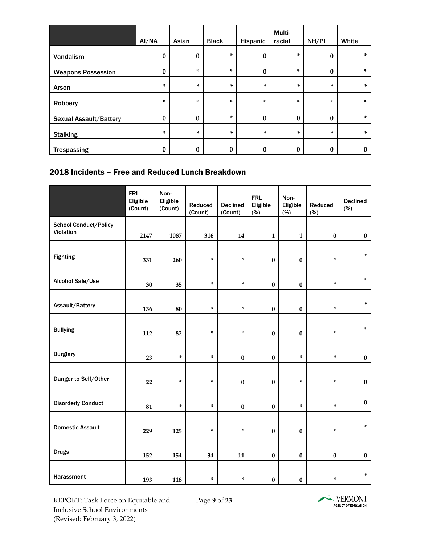|                               | AI/NA    | Asian    | <b>Black</b>     | Hispanic         | Multi-<br>racial | NH/PI            | White    |
|-------------------------------|----------|----------|------------------|------------------|------------------|------------------|----------|
| Vandalism                     | $\bf{0}$ | $\bf{0}$ | ×.               | $\boldsymbol{0}$ | ×                | $\boldsymbol{0}$ | $\ast$   |
| <b>Weapons Possession</b>     | $\bf{0}$ | ×.       | ×.               | 0                | ×                | $\boldsymbol{0}$ | $\ast$   |
| Arson                         | $\ast$   | ×        | *                | ×.               | ×                | ×.               | $\ast$   |
| Robbery                       | $\ast$   | $\star$  | ×.               | ×                | *                | $\ast$           | $\ast$   |
| <b>Sexual Assault/Battery</b> | $\bf{0}$ | 0        | *                | $\bf{0}$         | $\bf{0}$         | $\boldsymbol{0}$ | $\ast$   |
| <b>Stalking</b>               | ×        | ×        | ×.               | ×                | ×                | $\ast$           | $\ast$   |
| <b>Trespassing</b>            | $\bf{0}$ | 0        | $\boldsymbol{0}$ | $\bf{0}$         | $\bf{0}$         | $\bf{0}$         | $\bf{0}$ |

#### 2018 Incidents – Free and Reduced Lunch Breakdown

|                                    | <b>FRL</b><br>Eligible<br>(Count) | Non-<br>Eligible<br>(Count) | Reduced<br>(Count) | <b>Declined</b><br>(Count) | <b>FRL</b><br>Eligible<br>(%) | Non-<br>Eligible<br>(%) | Reduced<br>(%) | <b>Declined</b><br>(%) |
|------------------------------------|-----------------------------------|-----------------------------|--------------------|----------------------------|-------------------------------|-------------------------|----------------|------------------------|
| School Conduct/Policy<br>Violation | 2147                              | 1087                        | 316                | 14                         | $\mathbf{1}$                  | $\mathbf{1}$            | $\pmb{0}$      | $\bf{0}$               |
| <b>Fighting</b>                    | 331                               | 260                         | $\ast$             | $\ast$                     | $\pmb{0}$                     | $\pmb{0}$               | *              | *                      |
| Alcohol Sale/Use                   | 30                                | 35                          | $\ast$             | $\ast$                     | $\pmb{0}$                     | $\pmb{0}$               | *              | $\ast$                 |
| Assault/Battery                    | 136                               | 80                          | $\ast$             | *                          | $\pmb{0}$                     | $\pmb{0}$               | *              | $\ast$                 |
| <b>Bullying</b>                    | 112                               | 82                          | $\ast$             | $\ast$                     | $\pmb{0}$                     | $\pmb{0}$               | *              | $\ast$                 |
| <b>Burglary</b>                    | 23                                | $\ast$                      | *                  | $\pmb{0}$                  | $\pmb{0}$                     | *                       | *              | $\pmb{0}$              |
| Danger to Self/Other               | 22                                | *                           | *                  | $\pmb{0}$                  | $\pmb{0}$                     | ×                       | *              | $\bf{0}$               |
| <b>Disorderly Conduct</b>          | 81                                | $\ast$                      | $\ast$             | $\pmb{0}$                  | $\bf{0}$                      | *                       | ×.             | $\pmb{0}$              |
| <b>Domestic Assault</b>            | 229                               | 125                         | $\ast$             | $\ast$                     | $\pmb{0}$                     | $\pmb{0}$               | *              | $\ast$                 |
| <b>Drugs</b>                       | 152                               | 154                         | 34                 | 11                         | $\pmb{0}$                     | $\pmb{0}$               | $\pmb{0}$      | $\boldsymbol{0}$       |
| Harassment                         | 193                               | 118                         | $\ast$             | *                          | $\pmb{0}$                     | $\pmb{0}$               | *              | $\ast$                 |

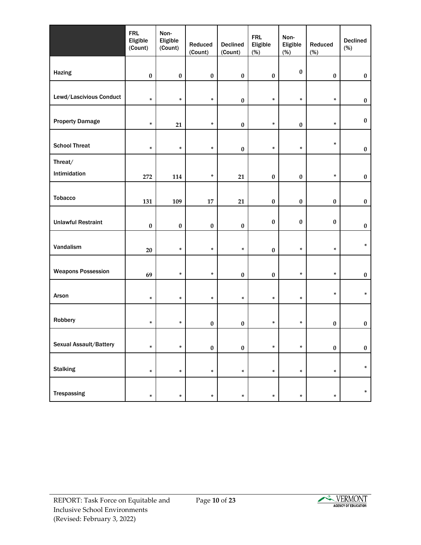|                           | <b>FRL</b><br>Eligible<br>(Count) | Non-<br>Eligible<br>(Count) | Reduced<br>(Count) | <b>Declined</b><br>(Count) | <b>FRL</b><br>Eligible<br>(%) | Non-<br>Eligible<br>(%) | Reduced<br>(%) | <b>Declined</b><br>(%) |
|---------------------------|-----------------------------------|-----------------------------|--------------------|----------------------------|-------------------------------|-------------------------|----------------|------------------------|
|                           |                                   |                             |                    |                            |                               |                         |                |                        |
| Hazing                    | $\pmb{0}$                         | $\pmb{0}$                   | $\pmb{0}$          | $\pmb{0}$                  | $\pmb{0}$                     | $\pmb{0}$               | $\pmb{0}$      | $\pmb{0}$              |
| Lewd/Lascivious Conduct   | $\ast$                            | $\ast$                      | $\ast$             | $\pmb{0}$                  | *                             | $\ast$                  | $\ast$         | $\pmb{0}$              |
| <b>Property Damage</b>    | $\ast$                            | 21                          | *                  | $\pmb{0}$                  | *                             | $\pmb{0}$               | *              | $\pmb{0}$              |
| <b>School Threat</b>      | $\ast$                            | $\ast$                      | *                  | $\pmb{0}$                  | *                             | $\ast$                  | *              | $\pmb{0}$              |
| Threat/                   |                                   |                             |                    |                            |                               |                         |                |                        |
| Intimidation              | 272                               | 114                         | *                  | 21                         | $\pmb{0}$                     | $\pmb{0}$               | $\ast$         | $\pmb{0}$              |
|                           |                                   |                             |                    |                            |                               |                         |                |                        |
| <b>Tobacco</b>            | 131                               | 109                         | 17                 | 21                         | $\bf{0}$                      | $\pmb{0}$               | $\pmb{0}$      | $\pmb{0}$              |
| <b>Unlawful Restraint</b> | $\pmb{0}$                         | $\pmb{0}$                   | $\pmb{0}$          | $\pmb{0}$                  | $\pmb{0}$                     | $\pmb{0}$               | $\pmb{0}$      | $\pmb{0}$              |
| Vandalism                 | 20                                | $\ast$                      | $\ast$             | *                          | $\pmb{0}$                     | $\ast$                  | *              | $\ast$                 |
|                           |                                   |                             |                    |                            |                               |                         |                |                        |
| <b>Weapons Possession</b> | 69                                | $\ast$                      | $\ast$             | $\pmb{0}$                  | $\pmb{0}$                     | $\ast$                  | $\ast$         | $\pmb{0}$              |
| Arson                     | $\ast$                            | $\ast$                      | $\ast$             | $\ast$                     | $\ast$                        | $\ast$                  | *              | $\ast$                 |
| Robbery                   | $\ast$                            | $\ast$                      | $\pmb{0}$          | $\pmb{0}$                  | *                             | $\ast$                  | $\pmb{0}$      | $\pmb{0}$              |
|                           |                                   |                             |                    |                            |                               |                         |                |                        |
| Sexual Assault/Battery    | *                                 | $\ast$                      | $\pmb{0}$          | $\pmb{0}$                  | *                             | $\ast$                  | $\pmb{0}$      | $\pmb{0}$              |
| <b>Stalking</b>           | $\ast$                            | *                           | $\ast$             | *                          | *                             | $\ast$                  | $\ast$         | $\ast$                 |
| Trespassing               | *                                 | *                           | *                  | *                          | *                             | $\ast$                  | *              | $\ast$                 |

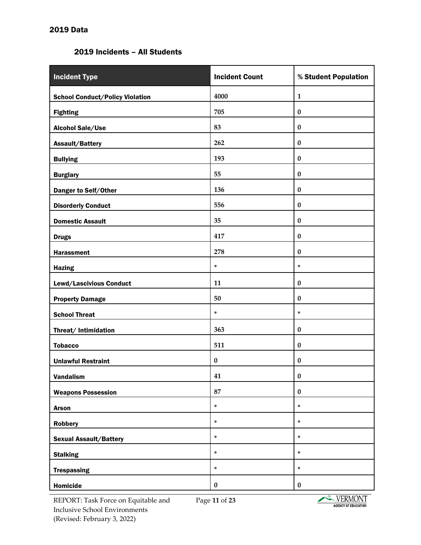#### 2019 Incidents – All Students

| <b>Incident Type</b>                   | <b>Incident Count</b> | % Student Population |
|----------------------------------------|-----------------------|----------------------|
| <b>School Conduct/Policy Violation</b> | 4000                  | $\mathbf{1}$         |
| <b>Fighting</b>                        | 705                   | $\boldsymbol{0}$     |
| <b>Alcohol Sale/Use</b>                | 83                    | $\bf{0}$             |
| Assault/Battery                        | 262                   | $\bf{0}$             |
| <b>Bullying</b>                        | 193                   | $\bf{0}$             |
| <b>Burglary</b>                        | 55                    | $\boldsymbol{0}$     |
| Danger to Self/Other                   | 136                   | $\bf{0}$             |
| <b>Disorderly Conduct</b>              | 556                   | $\bf{0}$             |
| <b>Domestic Assault</b>                | 35                    | $\bf{0}$             |
| <b>Drugs</b>                           | 417                   | $\boldsymbol{0}$     |
| <b>Harassment</b>                      | 278                   | $\bf{0}$             |
| <b>Hazing</b>                          | $\ast$                | ×.                   |
| Lewd/Lascivious Conduct                | 11                    | $\bf{0}$             |
| <b>Property Damage</b>                 | 50                    | $\bf{0}$             |
| <b>School Threat</b>                   | $\star$               | ×.                   |
| Threat/ Intimidation                   | 363                   | $\bf{0}$             |
| <b>Tobacco</b>                         | 511                   | $\bf{0}$             |
| <b>Unlawful Restraint</b>              | $\pmb{0}$             | $\bf{0}$             |
| <b>Vandalism</b>                       | 41                    | $\bf{0}$             |
| <b>Weapons Possession</b>              | 87                    | $\pmb{0}$            |
| <b>Arson</b>                           | $\ast$                | ×                    |
| <b>Robbery</b>                         | $\ast$                | ×                    |
| <b>Sexual Assault/Battery</b>          | $\ast$                | ×.                   |
| <b>Stalking</b>                        | $\ast$                | $\ast$               |
| <b>Trespassing</b>                     | $\ast$                | ×                    |
| Homicide                               | $\pmb{0}$             | $\pmb{0}$            |

REPORT: Task Force on Equitable and Inclusive School Environments (Revised: February 3, 2022)

Page **11** of **23**

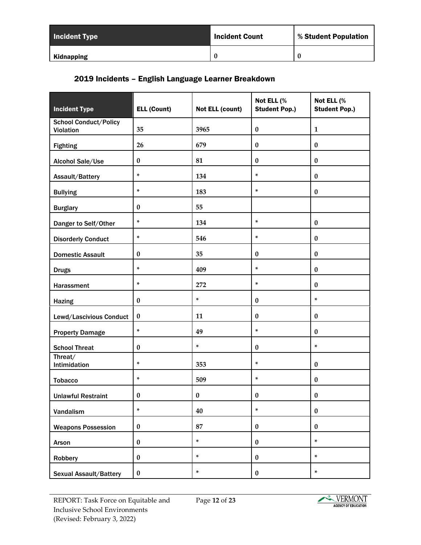| <b>Incident Type</b> | <b>Incident Count</b> | % Student Population |  |
|----------------------|-----------------------|----------------------|--|
| Kidnapping           | $\boldsymbol{0}$      |                      |  |

# 2019 Incidents – English Language Learner Breakdown

| <b>Incident Type</b>                      | <b>ELL (Count)</b> | Not ELL (count) | Not ELL (%<br><b>Student Pop.)</b> | Not ELL (%<br><b>Student Pop.)</b> |
|-------------------------------------------|--------------------|-----------------|------------------------------------|------------------------------------|
| <b>School Conduct/Policy</b><br>Violation | 35                 | 3965            | $\pmb{0}$                          | $\mathbf{1}$                       |
| <b>Fighting</b>                           | 26                 | 679             | $\bf{0}$                           | $\bf{0}$                           |
| Alcohol Sale/Use                          | $\pmb{0}$          | 81              | $\pmb{0}$                          | $\pmb{0}$                          |
| Assault/Battery                           | $\ast$             | 134             | ×.                                 | $\bf{0}$                           |
| <b>Bullying</b>                           | $\ast$             | 183             | $\ast$                             | $\bf{0}$                           |
| <b>Burglary</b>                           | $\bf{0}$           | 55              |                                    |                                    |
| Danger to Self/Other                      | $\ast$             | 134             | $\ast$                             | $\bf{0}$                           |
| <b>Disorderly Conduct</b>                 | $\ast$             | 546             | ×.                                 | $\pmb{0}$                          |
| <b>Domestic Assault</b>                   | $\bf{0}$           | 35              | $\bf{0}$                           | $\bf{0}$                           |
| <b>Drugs</b>                              | $\ast$             | 409             | ×.                                 | $\pmb{0}$                          |
| Harassment                                | $\star$            | 272             | ×.                                 | $\bf{0}$                           |
| <b>Hazing</b>                             | $\pmb{0}$          | $\star$         | $\pmb{0}$                          | ×                                  |
| Lewd/Lascivious Conduct                   | $\pmb{0}$          | 11              | $\bf{0}$                           | $\pmb{0}$                          |
| <b>Property Damage</b>                    | $\star$            | 49              | $\ast$                             | $\pmb{0}$                          |
| <b>School Threat</b>                      | $\bf{0}$           | ×.              | $\bf{0}$                           | ×.                                 |
| Threat/<br>Intimidation                   | $\ast$             | 353             | ×.                                 | $\pmb{0}$                          |
| <b>Tobacco</b>                            | $\ast$             | 509             | $\ast$                             | $\bf{0}$                           |
| <b>Unlawful Restraint</b>                 | $\pmb{0}$          | $\pmb{0}$       | $\pmb{0}$                          | $\pmb{0}$                          |
| Vandalism                                 | $\ast$             | 40              | $\star$                            | $\pmb{0}$                          |
| <b>Weapons Possession</b>                 | $\pmb{0}$          | 87              | $\pmb{0}$                          | $\pmb{0}$                          |
| Arson                                     | $\pmb{0}$          | $\ast$          | $\pmb{0}$                          | $\ast$                             |
| Robbery                                   | $\pmb{0}$          | $\star$         | $\pmb{0}$                          | $\ast$                             |
| Sexual Assault/Battery                    | $\pmb{0}$          | ×.              | $\pmb{0}$                          | ×.                                 |

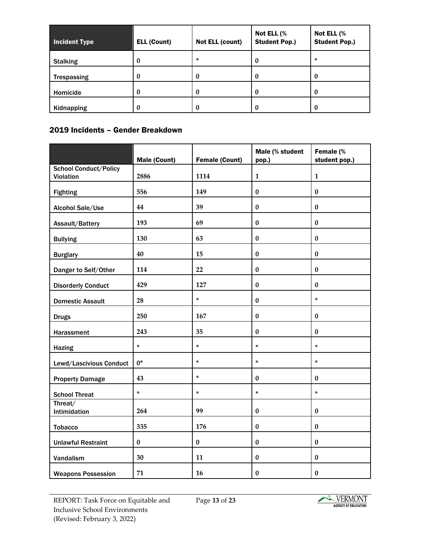| <b>Incident Type</b> | <b>ELL (Count)</b> | Not ELL (count) | Not ELL (%<br><b>Student Pop.)</b> |                  |
|----------------------|--------------------|-----------------|------------------------------------|------------------|
| <b>Stalking</b>      | U                  | ×               | 0                                  | ×                |
| <b>Trespassing</b>   | 0                  | 0               | $\bf{0}$                           | $\bf{0}$         |
| Homicide             | 0                  | 0               | 0                                  | $\boldsymbol{0}$ |
| Kidnapping           | 0                  | 0               | 0                                  | $\boldsymbol{0}$ |

## 2019 Incidents – Gender Breakdown

|                                           | <b>Male (Count)</b> | <b>Female (Count)</b> | Male (% student<br>pop.) | Female (%<br>student pop.) |
|-------------------------------------------|---------------------|-----------------------|--------------------------|----------------------------|
| <b>School Conduct/Policy</b><br>Violation | 2886                | 1114                  | $\mathbf{1}$             | $\mathbf{1}$               |
| <b>Fighting</b>                           | 556                 | 149                   | $\pmb{0}$                | $\pmb{0}$                  |
| Alcohol Sale/Use                          | 44                  | 39                    | $\pmb{0}$                | $\bf{0}$                   |
| Assault/Battery                           | 193                 | 69                    | $\bf{0}$                 | $\bf{0}$                   |
| <b>Bullying</b>                           | 130                 | 63                    | $\bf{0}$                 | $\bf{0}$                   |
| <b>Burglary</b>                           | 40                  | 15                    | $\bf{0}$                 | $\bf{0}$                   |
| Danger to Self/Other                      | 114                 | 22                    | $\pmb{0}$                | $\pmb{0}$                  |
| <b>Disorderly Conduct</b>                 | 429                 | 127                   | $\pmb{0}$                | $\pmb{0}$                  |
| <b>Domestic Assault</b>                   | 28                  | $\ast$                | $\pmb{0}$                | $\star$                    |
| <b>Drugs</b>                              | 250                 | 167                   | $\bf{0}$                 | $\bf{0}$                   |
| Harassment                                | 243                 | 35                    | $\bf{0}$                 | $\bf{0}$                   |
| <b>Hazing</b>                             | ×.                  | $\star$               | ×.                       | $\star$                    |
| Lewd/Lascivious Conduct                   | $0*$                | $\star$               | ×.                       | ×.                         |
| <b>Property Damage</b>                    | 43                  | $\ast$                | $\bf{0}$                 | $\pmb{0}$                  |
| <b>School Threat</b>                      | ×                   | $\star$               | ×.                       | $\star$                    |
| Threat/<br>Intimidation                   | 264                 | 99                    | $\bf{0}$                 | $\pmb{0}$                  |
| <b>Tobacco</b>                            | 335                 | 176                   | $\bf{0}$                 | $\bf{0}$                   |
| <b>Unlawful Restraint</b>                 | $\pmb{0}$           | $\bf{0}$              | $\pmb{0}$                | $\pmb{0}$                  |
| Vandalism                                 | 30                  | 11                    | $\pmb{0}$                | $\pmb{0}$                  |
| <b>Weapons Possession</b>                 | 71                  | 16                    | $\pmb{0}$                | $\pmb{0}$                  |

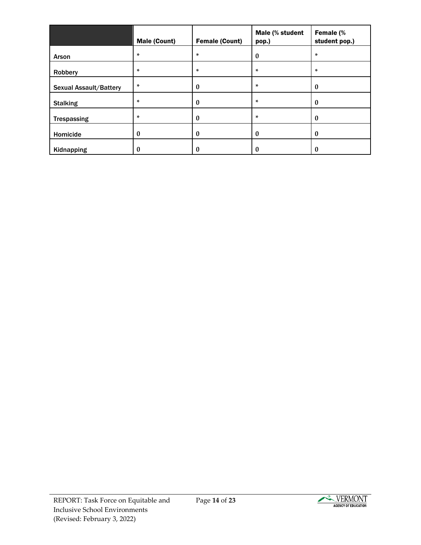|                               | <b>Male (Count)</b> | <b>Female (Count)</b> | Male (% student<br>pop.) | Female (%<br>student pop.) |
|-------------------------------|---------------------|-----------------------|--------------------------|----------------------------|
| Arson                         | ×                   | ×                     | $\bf{0}$                 | ×                          |
| Robbery                       | ×.                  | *                     | ×                        | ×                          |
| <b>Sexual Assault/Battery</b> | ×.                  | $\bf{0}$              | ×                        | $\bf{0}$                   |
| <b>Stalking</b>               | ×.                  | $\bf{0}$              | ×                        | $\bf{0}$                   |
| <b>Trespassing</b>            | ×                   | $\bf{0}$              | ×.                       | $\bf{0}$                   |
| Homicide                      | $\bf{0}$            | $\bf{0}$              | $\bf{0}$                 | $\bf{0}$                   |
| Kidnapping                    | $\bf{0}$            | 0                     | 0                        | 0                          |

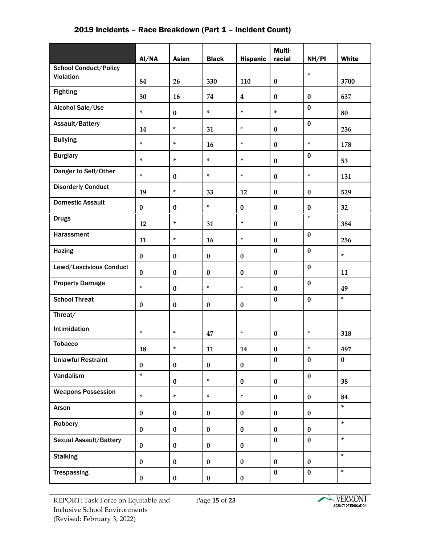|  |  | 2019 Incidents – Race Breakdown (Part 1 – Incident Count) |  |
|--|--|-----------------------------------------------------------|--|
|--|--|-----------------------------------------------------------|--|

|                               | Al/NA     | <b>Asian</b> | <b>Black</b> | <b>Hispanic</b>  | Multi-<br>racial | NH/PI     | White    |
|-------------------------------|-----------|--------------|--------------|------------------|------------------|-----------|----------|
| <b>School Conduct/Policy</b>  |           |              |              |                  |                  | $\ast$    |          |
| Violation                     | 84        | 26           | 330          | 110              | $\bf{0}$         |           | 3700     |
| <b>Fighting</b>               | 30        | 16           | 74           | $\boldsymbol{4}$ | $\bf{0}$         | $\bf{0}$  | 637      |
| Alcohol Sale/Use              | $\star$   | $\bf{0}$     | ×.           | $\ast$           | $\star$          | $\bf{0}$  | 80       |
| Assault/Battery               | 14        | ×.           | 31           | $\ast$           | $\bf{0}$         | $\bf{0}$  | 236      |
| <b>Bullying</b>               | ×         | $\star$      | 16           | $\ast$           | $\bf{0}$         | $\ast$    | 178      |
| <b>Burglary</b>               | ×.        | $\star$      | ×.           | ×                | $\bf{0}$         | $\bf{0}$  | 53       |
| Danger to Self/Other          | ×.        | $\pmb{0}$    | ×.           | $\star$          | $\bf{0}$         | $\ast$    | 131      |
| <b>Disorderly Conduct</b>     | 19        | ×.           | 33           | 12               | $\bf{0}$         | $\bf{0}$  | 529      |
| <b>Domestic Assault</b>       | $\pmb{0}$ | $\pmb{0}$    | $\star$      | $\bf{0}$         | $\bf{0}$         | $\bf{0}$  | 32       |
| <b>Drugs</b>                  | 12        | ×            | 31           | $\ast$           | $\bf{0}$         | $\ast$    | 384      |
| Harassment                    | 11        | ×.           | 16           | $\ast$           | $\bf{0}$         | $\bf{0}$  | 256      |
| <b>Hazing</b>                 | $\pmb{0}$ | $\pmb{0}$    | $\pmb{0}$    | $\pmb{0}$        | $\bf{0}$         | $\bf{0}$  | ×.       |
| Lewd/Lascivious Conduct       | $\pmb{0}$ | $\pmb{0}$    | $\pmb{0}$    | $\bf{0}$         | $\bf{0}$         | $\bf{0}$  | 11       |
| <b>Property Damage</b>        | $\star$   | $\pmb{0}$    | $\star$      | ×                | $\bf{0}$         | $\bf{0}$  | 49       |
| <b>School Threat</b>          | $\pmb{0}$ | $\pmb{0}$    | $\pmb{0}$    | $\pmb{0}$        | $\bf{0}$         | $\bf{0}$  | $\ast$   |
| Threat/                       |           |              |              |                  |                  |           |          |
| Intimidation                  | ×.        | ×.           | 47           | $\ast$           | $\bf{0}$         | $\ast$    | 318      |
| <b>Tobacco</b>                | 18        | ×            | 11           | 14               | $\bf{0}$         | $\ast$    | 497      |
| <b>Unlawful Restraint</b>     | $\bf{0}$  | $\bf{0}$     | $\bf{0}$     | $\bf{0}$         | $\bf{0}$         | $\bf{0}$  | $\bf{0}$ |
| Vandalism                     | ×.        | $\bf{0}$     | ×.           | $\bf{0}$         | $\bf{0}$         | $\bf{0}$  | 38       |
| <b>Weapons Possession</b>     | ×.        | $\star$      | ×.           | ×                | $\bf{0}$         | $\bf{0}$  | 84       |
| Arson                         | $\bf{0}$  | $\pmb{0}$    | $\bf{0}$     | $\bf{0}$         | $\pmb{0}$        | $\pmb{0}$ | ×.       |
| Robbery                       | $\bf{0}$  | $\bf{0}$     | $\bf{0}$     | $\bf{0}$         | $\bf{0}$         | $\bf{0}$  | $\ast$   |
| <b>Sexual Assault/Battery</b> | $\bf{0}$  | $\bf{0}$     | $\bf{0}$     | $\bf{0}$         | $\bf{0}$         | $\bf{0}$  | $\star$  |
| <b>Stalking</b>               | $\bf{0}$  | $\bf{0}$     | $\bf{0}$     | $\bf{0}$         | $\bf{0}$         | $\bf{0}$  | ×.       |
| <b>Trespassing</b>            | $\pmb{0}$ | $\pmb{0}$    | $\bf{0}$     | $\pmb{0}$        | $\bf{0}$         | $\pmb{0}$ | $\ast$   |

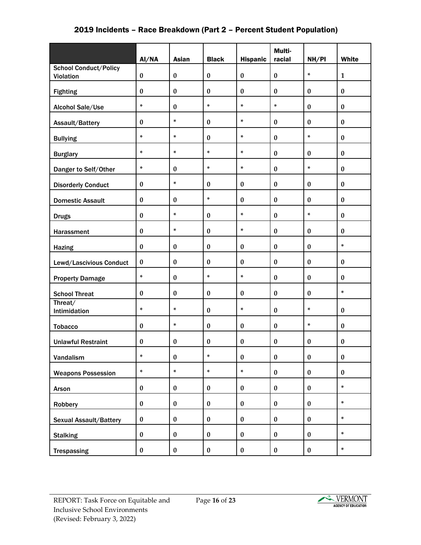### 2019 Incidents – Race Breakdown (Part 2 – Percent Student Population)

|                                           | AI/NA            | <b>Asian</b> | <b>Black</b>     | <b>Hispanic</b> | Multi-<br>racial | NH/PI     | White        |
|-------------------------------------------|------------------|--------------|------------------|-----------------|------------------|-----------|--------------|
| <b>School Conduct/Policy</b><br>Violation | $\pmb{0}$        | $\pmb{0}$    | $\pmb{0}$        | $\pmb{0}$       | $\pmb{0}$        | ×.        | $\mathbf{1}$ |
| <b>Fighting</b>                           | $\bf{0}$         | $\bf{0}$     | $\bf{0}$         | $\bf{0}$        | $\bf{0}$         | $\bf{0}$  | $\pmb{0}$    |
| Alcohol Sale/Use                          | $\ast$           | $\pmb{0}$    | $\ast$           | ×.              | $\ast$           | $\bf{0}$  | $\pmb{0}$    |
| Assault/Battery                           | $\bf{0}$         | $\star$      | $\pmb{0}$        | ×.              | $\bf{0}$         | $\bf{0}$  | $\bf{0}$     |
| <b>Bullying</b>                           | ×                | $\ast$       | $\pmb{0}$        | ×               | $\bf{0}$         | ×.        | $\pmb{0}$    |
|                                           | ×                | $\star$      | ×.               | ×               | $\bf{0}$         | $\bf{0}$  | $\pmb{0}$    |
| <b>Burglary</b>                           | $\ast$           | $\pmb{0}$    | $\ast$           | ×.              | $\bf{0}$         | ×.        | $\pmb{0}$    |
| Danger to Self/Other                      |                  | $\ast$       |                  |                 |                  |           |              |
| <b>Disorderly Conduct</b>                 | $\pmb{0}$        |              | $\bf{0}$         | $\bf{0}$        | $\bf{0}$         | $\bf{0}$  | $\bf{0}$     |
| <b>Domestic Assault</b>                   | $\bf{0}$         | $\bf{0}$     | ×.               | $\bf{0}$        | $\bf{0}$         | $\bf{0}$  | $\pmb{0}$    |
| <b>Drugs</b>                              | $\bf{0}$         | $\ast$       | $\pmb{0}$        | ×               | $\bf{0}$         | $\ast$    | $\pmb{0}$    |
| Harassment                                | $\bf{0}$         | $\ast$       | $\pmb{0}$        | $\ast$          | $\bf{0}$         | $\pmb{0}$ | $\pmb{0}$    |
| <b>Hazing</b>                             | $\bf{0}$         | $\bf{0}$     | $\boldsymbol{0}$ | $\bf{0}$        | $\bf{0}$         | $\bf{0}$  | ×            |
| Lewd/Lascivious Conduct                   | $\bf{0}$         | $\bf{0}$     | $\bf{0}$         | $\bf{0}$        | $\bf{0}$         | $\bf{0}$  | $\bf{0}$     |
| <b>Property Damage</b>                    | $\ast$           | $\bf{0}$     | ×.               | ×.              | $\bf{0}$         | $\bf{0}$  | $\pmb{0}$    |
| <b>School Threat</b>                      | $\bf{0}$         | $\bf{0}$     | $\bf{0}$         | $\bf{0}$        | $\bf{0}$         | $\bf{0}$  | ×.           |
| Threat/<br>Intimidation                   | ×                | $\star$      | $\bf{0}$         | ×               | $\bf{0}$         | ×         | $\pmb{0}$    |
| <b>Tobacco</b>                            | $\bf{0}$         | $\ast$       | $\bf{0}$         | $\bf{0}$        | $\bf{0}$         | $\ast$    | $\pmb{0}$    |
| <b>Unlawful Restraint</b>                 | $\boldsymbol{0}$ | $\bf{0}$     | $\boldsymbol{0}$ | $\pmb{0}$       | $\bf{0}$         | $\pmb{0}$ | $\pmb{0}$    |
| Vandalism                                 | ×                | $\pmb{0}$    | ×                | $\pmb{0}$       | $\pmb{0}$        | $\pmb{0}$ | $\pmb{0}$    |
| <b>Weapons Possession</b>                 | ×.               | $\ast$       | ×                | $\ast$          | $\bf{0}$         | $\bf{0}$  | $\bf{0}$     |
|                                           | $\pmb{0}$        | $\pmb{0}$    | $\pmb{0}$        | $\bf{0}$        | $\pmb{0}$        | $\pmb{0}$ | ×            |
| Arson                                     |                  |              |                  |                 |                  |           | ×            |
| Robbery                                   | $\pmb{0}$        | $\pmb{0}$    | $\pmb{0}$        | $\bf{0}$        | $\pmb{0}$        | $\bf{0}$  |              |
| <b>Sexual Assault/Battery</b>             | $\bf{0}$         | $\pmb{0}$    | $\bf{0}$         | $\bf{0}$        | $\bf{0}$         | $\bf{0}$  | ×.           |
| <b>Stalking</b>                           | $\pmb{0}$        | $\pmb{0}$    | $\bf{0}$         | $\bf{0}$        | $\pmb{0}$        | $\pmb{0}$ | ×.           |
| <b>Trespassing</b>                        | $\pmb{0}$        | $\pmb{0}$    | $\pmb{0}$        | $\pmb{0}$       | $\pmb{0}$        | $\pmb{0}$ | $\ast$       |

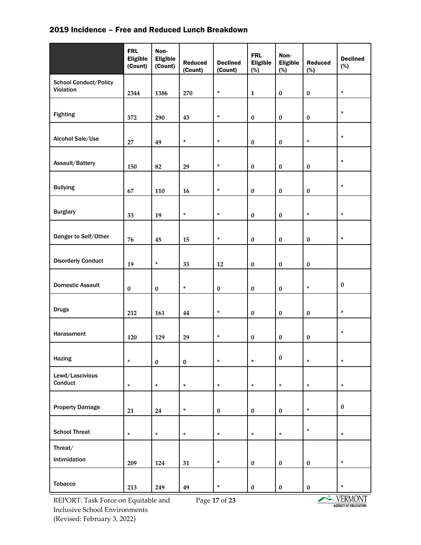#### 2019 Incidence – Free and Reduced Lunch Breakdown

|                                           | <b>FRL</b><br><b>Eligible</b><br>(Count) | Non-<br><b>Eligible</b><br>(Count) | <b>Reduced</b><br>(Count) | <b>Declined</b><br>(Count) | <b>FRL</b><br><b>Eligible</b><br>(%) | Non-<br><b>Eligible</b><br>(%) | <b>Reduced</b><br>(%) | <b>Declined</b><br>(%) |
|-------------------------------------------|------------------------------------------|------------------------------------|---------------------------|----------------------------|--------------------------------------|--------------------------------|-----------------------|------------------------|
| <b>School Conduct/Policy</b><br>Violation | 2344                                     | 1386                               | 270                       | *                          | $\mathbf 1$                          | $\pmb{0}$                      | $\pmb{0}$             | $\ast$                 |
| <b>Fighting</b>                           | 372                                      | 290                                | 43                        | *                          | $\pmb{0}$                            | $\pmb{0}$                      | $\pmb{0}$             | $\ast$                 |
| Alcohol Sale/Use                          | 27                                       | 49                                 | $\ast$                    | *                          | $\pmb{0}$                            | $\bf{0}$                       | $\ast$                | $\ast$                 |
| Assault/Battery                           | 150                                      | 82                                 | 29                        | *                          | $\pmb{0}$                            | $\bf{0}$                       | $\pmb{0}$             | $\ast$                 |
| <b>Bullying</b>                           | 67                                       | 110                                | 16                        | *                          | $\pmb{0}$                            | $\pmb{0}$                      | $\pmb{0}$             | $\ast$                 |
| <b>Burglary</b>                           | 33                                       | 19                                 | $\ast$                    | *                          | $\pmb{0}$                            | $\bf{0}$                       | $\ast$                | $\ast$                 |
| Danger to Self/Other                      | 76                                       | 45                                 | 15                        | *                          | $\pmb{0}$                            | $\bf{0}$                       | $\pmb{0}$             | $\ast$                 |
| <b>Disorderly Conduct</b>                 | 19                                       | $\ast$                             | 33                        | $12\,$                     | $\pmb{0}$                            | $\pmb{0}$                      | $\pmb{0}$             |                        |
| <b>Domestic Assault</b>                   | $\pmb{0}$                                | $\pmb{0}$                          | $\ast$                    | $\pmb{0}$                  | $\pmb{0}$                            | $\pmb{0}$                      | $\ast$                | $\pmb{0}$              |
| <b>Drugs</b>                              | 212                                      | 161                                | 44                        | *                          | $\pmb{0}$                            | $\pmb{0}$                      | $\pmb{0}$             | $\ast$                 |
| Harassment                                | 120                                      | 129                                | 29                        | *                          | $\pmb{0}$                            | $\pmb{0}$                      | $\pmb{0}$             | $\ast$                 |
| Hazing                                    | $\ast$                                   | $\pmb{0}$                          | $\pmb{0}$                 | $\ast$                     | $\ast$                               | $\pmb{0}$                      | $\ast$                | $\ast$                 |
| Lewd/Lascivious<br>Conduct                | $\ast$                                   | $\ast$                             | $\ast$                    | *                          | $\ast$                               | $\ast$                         | $\ast$                | $\ast$                 |
| <b>Property Damage</b>                    | 21                                       | 24                                 | $\ast$                    | $\pmb{0}$                  | $\pmb{0}$                            | $\pmb{0}$                      | $\ast$                | $\pmb{0}$              |
| <b>School Threat</b>                      | $\ast$                                   | $\ast$                             | $\ast$                    | $\ast$                     | $\ast$                               | $\ast$                         | $\ast$                | $\ast$                 |
| Threat/<br>Intimidation                   | 209                                      | 124                                | 31                        | $\ast$                     | $\pmb{0}$                            | $\pmb{0}$                      | $\pmb{0}$             | $\ast$                 |
| <b>Tobacco</b>                            | 213                                      | 249                                | 49                        | *                          | $\pmb{0}$                            | $\pmb{0}$                      | $\pmb{0}$             | $\ast$                 |

REPORT: Task Force on Equitable and Inclusive School Environments (Revised: February 3, 2022)

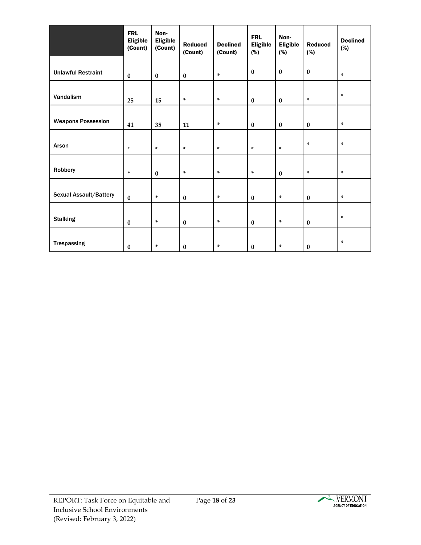|                           | <b>FRL</b><br><b>Eligible</b><br>(Count) | Non-<br><b>Eligible</b><br>(Count) | <b>Reduced</b><br>(Count) | <b>Declined</b><br>(Count) | <b>FRL</b><br><b>Eligible</b><br>(%) | Non-<br><b>Eligible</b><br>(%) | <b>Reduced</b><br>(%) | <b>Declined</b><br>(%) |
|---------------------------|------------------------------------------|------------------------------------|---------------------------|----------------------------|--------------------------------------|--------------------------------|-----------------------|------------------------|
|                           |                                          |                                    |                           |                            |                                      |                                |                       |                        |
| <b>Unlawful Restraint</b> | $\pmb{0}$                                | $\bf{0}$                           | $\bf{0}$                  | $\ast$                     | $\bf{0}$                             | $\bf{0}$                       | $\bf{0}$              | *                      |
| Vandalism                 | 25                                       | 15                                 | *                         | *                          | $\bf{0}$                             | $\pmb{0}$                      | $\ast$                | *                      |
|                           |                                          |                                    |                           |                            |                                      |                                |                       |                        |
| <b>Weapons Possession</b> | 41                                       | 35                                 | $11\,$                    | $\ast$                     | $\bf{0}$                             | $\pmb{0}$                      | $\bf{0}$              | *                      |
| Arson                     | $\ast$                                   | $\ast$                             | $\ast$                    | $\ast$                     | $\ast$                               | $\ast$                         | $\ast$                | *                      |
| Robbery                   | $\ast$                                   | $\bf{0}$                           | $\ast$                    | $\ast$                     | *                                    | $\pmb{0}$                      | $\ast$                | *                      |
| Sexual Assault/Battery    | $\bf{0}$                                 | *                                  | $\pmb{0}$                 | $\ast$                     | $\bf{0}$                             | $\ast$                         | $\bf{0}$              | *                      |
| <b>Stalking</b>           | $\bf{0}$                                 | *                                  | $\pmb{0}$                 | $\ast$                     | $\bf{0}$                             | $\ast$                         | $\bf{0}$              | *                      |
| Trespassing               | $\bf{0}$                                 | *                                  | $\bf{0}$                  | *                          | $\bf{0}$                             | $\ast$                         | $\bf{0}$              | *                      |

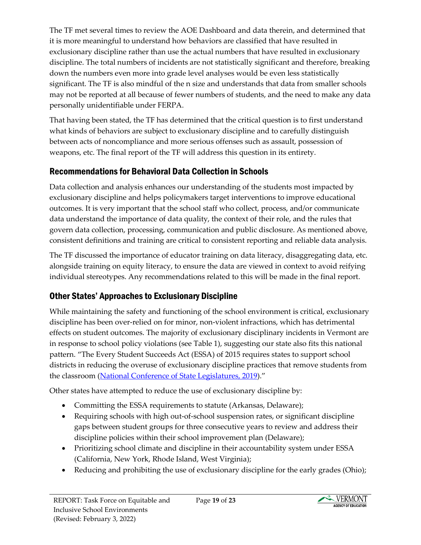The TF met several times to review the AOE Dashboard and data therein, and determined that it is more meaningful to understand how behaviors are classified that have resulted in exclusionary discipline rather than use the actual numbers that have resulted in exclusionary discipline. The total numbers of incidents are not statistically significant and therefore, breaking down the numbers even more into grade level analyses would be even less statistically significant. The TF is also mindful of the n size and understands that data from smaller schools may not be reported at all because of fewer numbers of students, and the need to make any data personally unidentifiable under FERPA.

That having been stated, the TF has determined that the critical question is to first understand what kinds of behaviors are subject to exclusionary discipline and to carefully distinguish between acts of noncompliance and more serious offenses such as assault, possession of weapons, etc. The final report of the TF will address this question in its entirety.

# Recommendations for Behavioral Data Collection in Schools

Data collection and analysis enhances our understanding of the students most impacted by exclusionary discipline and helps policymakers target interventions to improve educational outcomes. It is very important that the school staff who collect, process, and/or communicate data understand the importance of data quality, the context of their role, and the rules that govern data collection, processing, communication and public disclosure. As mentioned above, consistent definitions and training are critical to consistent reporting and reliable data analysis.

The TF discussed the importance of educator training on data literacy, disaggregating data, etc. alongside training on equity literacy, to ensure the data are viewed in context to avoid reifying individual stereotypes. Any recommendations related to this will be made in the final report.

# Other States' Approaches to Exclusionary Discipline

While maintaining the safety and functioning of the school environment is critical, exclusionary discipline has been over-relied on for minor, non-violent infractions, which has detrimental effects on student outcomes. The majority of exclusionary disciplinary incidents in Vermont are in response to school policy violations (see Table 1), suggesting our state also fits this national pattern. "The Every Student Succeeds Act (ESSA) of 2015 requires states to support school districts in reducing the overuse of exclusionary discipline practices that remove students from the classroom [\(National Conference of State Legislatures, 2019\)](https://www.ncsl.org/research/education/school-discipline.aspx)."

Other states have attempted to reduce the use of exclusionary discipline by:

- Committing the ESSA requirements to statute (Arkansas, Delaware);
- Requiring schools with high out-of-school suspension rates, or significant discipline gaps between student groups for three consecutive years to review and address their discipline policies within their school improvement plan (Delaware);
- Prioritizing school climate and discipline in their accountability system under ESSA (California, New York, Rhode Island, West Virginia);
- Reducing and prohibiting the use of exclusionary discipline for the early grades (Ohio);

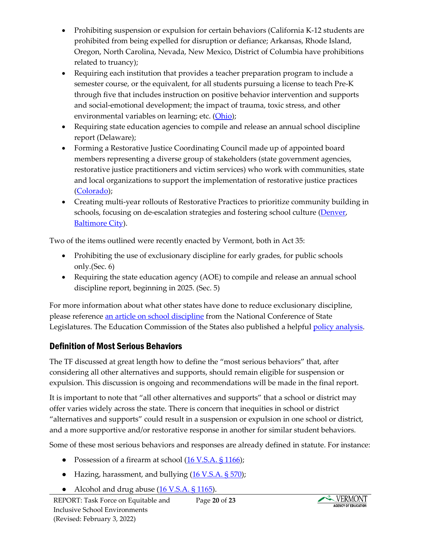- Prohibiting suspension or expulsion for certain behaviors (California K-12 students are prohibited from being expelled for disruption or defiance; Arkansas, Rhode Island, Oregon, North Carolina, Nevada, New Mexico, District of Columbia have prohibitions related to truancy);
- Requiring each institution that provides a teacher preparation program to include a semester course, or the equivalent, for all students pursuing a license to teach Pre-K through five that includes instruction on positive behavior intervention and supports and social-emotional development; the impact of trauma, toxic stress, and other environmental variables on learning; etc. [\(Ohio\)](https://legiscan.com/OH/text/HB318/id/1813116);
- Requiring state education agencies to compile and release an annual school discipline report (Delaware);
- Forming a Restorative Justice Coordinating Council made up of appointed board members representing a diverse group of stakeholders (state government agencies, restorative justice practitioners and victim services) who work with communities, state and local organizations to support the implementation of restorative justice practices [\(Colorado\)](https://rjcolorado.org/);
- Creating multi-year rollouts of Restorative Practices to prioritize community building in schools, focusing on de-escalation strategies and fostering school culture [\(Denver,](https://rjpartnership.org/wp-content/uploads/Implementation-Guide-FINAL.pdf) [Baltimore City\)](https://www.baltimorecityschools.org/restorative-practices).

Two of the items outlined were recently enacted by Vermont, both in Act 35:

- Prohibiting the use of exclusionary discipline for early grades, for public schools only.(Sec. 6)
- Requiring the state education agency (AOE) to compile and release an annual school discipline report, beginning in 2025. (Sec. 5)

For more information about what other states have done to reduce exclusionary discipline, please referenc[e an article on school discipline](https://www.ncsl.org/research/education/school-discipline.aspx) from the National Conference of State Legislatures. The Education Commission of the States also published a helpful [policy analysis.](https://www.ecs.org/wp-content/uploads/The-Status-of-School-Discipline-in-State-Policy.pdf)

# Definition of Most Serious Behaviors

The TF discussed at great length how to define the "most serious behaviors" that, after considering all other alternatives and supports, should remain eligible for suspension or expulsion. This discussion is ongoing and recommendations will be made in the final report.

It is important to note that "all other alternatives and supports" that a school or district may offer varies widely across the state. There is concern that inequities in school or district "alternatives and supports" could result in a suspension or expulsion in one school or district, and a more supportive and/or restorative response in another for similar student behaviors.

Some of these most serious behaviors and responses are already defined in statute. For instance:

- Possession of a firearm at school  $(16 \text{ V.S.A.} \$ 1166)$ ;
- Hazing, harassment, and bullying [\(16 V.S.A. § 570\)](https://legislature.vermont.gov/statutes/section/16/009/00570);
- Alcohol and drug abuse  $(16 \text{ V.S.A.} \S 1165)$ .

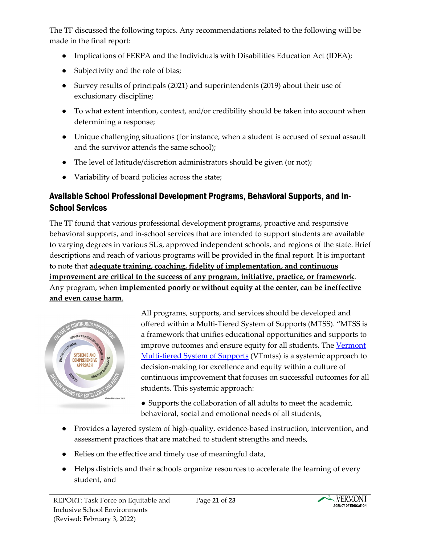The TF discussed the following topics. Any recommendations related to the following will be made in the final report:

- Implications of FERPA and the Individuals with Disabilities Education Act (IDEA);
- Subjectivity and the role of bias;
- Survey results of principals (2021) and superintendents (2019) about their use of exclusionary discipline;
- To what extent intention, context, and/or credibility should be taken into account when determining a response;
- Unique challenging situations (for instance, when a student is accused of sexual assault and the survivor attends the same school);
- The level of latitude/discretion administrators should be given (or not);
- Variability of board policies across the state;

# Available School Professional Development Programs, Behavioral Supports, and In-School Services

The TF found that various professional development programs, proactive and responsive behavioral supports, and in-school services that are intended to support students are available to varying degrees in various SUs, approved independent schools, and regions of the state. Brief descriptions and reach of various programs will be provided in the final report. It is important to note that **adequate training, coaching, fidelity of implementation, and continuous improvement are critical to the success of any program, initiative, practice, or framework**. Any program, when **implemented poorly or without equity at the center, can be ineffective and even cause harm**.



All programs, supports, and services should be developed and offered within a Multi-Tiered System of Supports (MTSS). "MTSS is a framework that unifies educational opportunities and supports to improve outcomes and ensure equity for all students. The [Vermont](https://education.vermont.gov/documents/edu-vtmtss-field-guide-2019)  [Multi-tiered System of Supports](https://education.vermont.gov/documents/edu-vtmtss-field-guide-2019) (VTmtss) is a systemic approach to decision-making for excellence and equity within a culture of continuous improvement that focuses on successful outcomes for all students. This systemic approach:

- Supports the collaboration of all adults to meet the academic, behavioral, social and emotional needs of all students,
- Provides a layered system of high-quality, evidence-based instruction, intervention, and assessment practices that are matched to student strengths and needs,
- Relies on the effective and timely use of meaningful data,
- Helps districts and their schools organize resources to accelerate the learning of every student, and

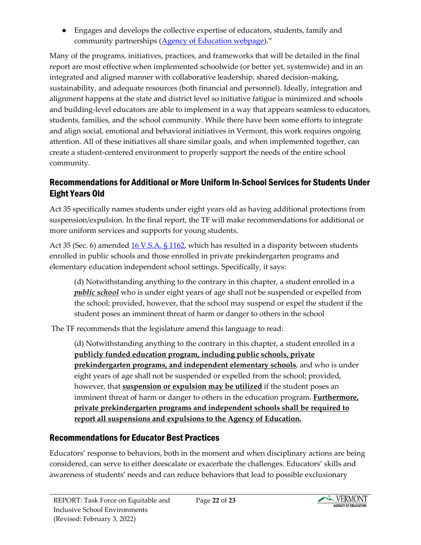● Engages and develops the collective expertise of educators, students, family and community partnerships [\(Agency of Education webpage\)](https://education.vermont.gov/student-support/vermont-multi-tiered-system-of-supports)."

Many of the programs, initiatives, practices, and frameworks that will be detailed in the final report are most effective when implemented schoolwide (or better yet, systemwide) and in an integrated and aligned manner with collaborative leadership, shared decision-making, sustainability, and adequate resources (both financial and personnel). Ideally, integration and alignment happens at the state and district level so initiative fatigue is minimized and schools and building-level educators are able to implement in a way that appears seamless to educators, students, families, and the school community. While there have been some efforts to integrate and align social, emotional and behavioral initiatives in Vermont, this work requires ongoing attention. All of these initiatives all share similar goals, and when implemented together, can create a student-centered environment to properly support the needs of the entire school community.

# Recommendations for Additional or More Uniform In-School Services for Students Under Eight Years Old

Act 35 specifically names students under eight years old as having additional protections from suspension/expulsion. In the final report, the TF will make recommendations for additional or more uniform services and supports for young students.

Act 35 (Sec. 6) amended [16 V.S.A. § 1162,](https://legislature.vermont.gov/statutes/section/16/025/01162#:%7E:text=(d)%20Notwithstanding%20anything%20to%20the,harm%20or%20danger%20to%20others) which has resulted in a disparity between students enrolled in public schools and those enrolled in private prekindergarten programs and elementary education independent school settings. Specifically, it says:

(d) Notwithstanding anything to the contrary in this chapter, a student enrolled in a *public school* who is under eight years of age shall not be suspended or expelled from the school; provided, however, that the school may suspend or expel the student if the student poses an imminent threat of harm or danger to others in the school

The TF recommends that the legislature amend this language to read:

(d) Notwithstanding anything to the contrary in this chapter, a student enrolled in a **publicly funded education program, including public schools, private prekindergarten programs, and independent elementary schools**, and who is under eight years of age shall not be suspended or expelled from the school; provided, however, that **suspension or expulsion may be utilized** if the student poses an imminent threat of harm or danger to others in the education program. **Furthermore, private prekindergarten programs and independent schools shall be required to report all suspensions and expulsions to the Agency of Education.**

## Recommendations for Educator Best Practices

Educators' response to behaviors, both in the moment and when disciplinary actions are being considered, can serve to either deescalate or exacerbate the challenges. Educators' skills and awareness of students' needs and can reduce behaviors that lead to possible exclusionary